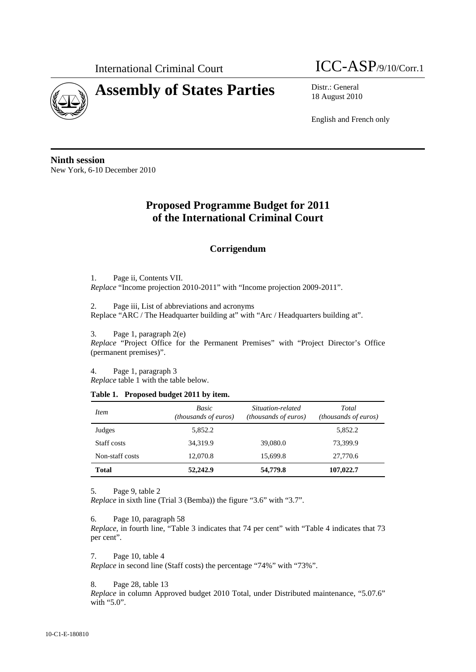

# **Assembly of States Parties** Distr.: General



18 August 2010

English and French only

**Ninth session**  New York, 6-10 December 2010

# **Proposed Programme Budget for 2011 of the International Criminal Court**

# **Corrigendum**

1. Page ii, Contents VII. *Replace* "Income projection 2010-2011" with "Income projection 2009-2011".

2. Page iii, List of abbreviations and acronyms Replace "ARC / The Headquarter building at" with "Arc / Headquarters building at".

3. Page 1, paragraph 2(e)

*Replace* "Project Office for the Permanent Premises" with "Project Director's Office (permanent premises)".

4. Page 1, paragraph 3

*Replace* table 1 with the table below.

#### **Table 1. Proposed budget 2011 by item.**

| <i>Item</i>     | Basic<br>( <i>thousands of euros</i> ) | Situation-related<br>(thousands of euros) | Total<br><i>(thousands of euros)</i> |  |  |
|-----------------|----------------------------------------|-------------------------------------------|--------------------------------------|--|--|
| Judges          | 5,852.2                                |                                           | 5,852.2                              |  |  |
| Staff costs     | 34,319.9                               | 39,080.0                                  | 73,399.9                             |  |  |
| Non-staff costs | 12,070.8                               | 15,699.8                                  | 27,770.6                             |  |  |
| <b>Total</b>    | 52,242.9                               | 54,779.8                                  | 107,022.7                            |  |  |

5. Page 9, table 2

*Replace* in sixth line (Trial 3 (Bemba)) the figure "3.6" with "3.7".

6. Page 10, paragraph 58

*Replace,* in fourth line, "Table 3 indicates that 74 per cent" with "Table 4 indicates that 73 per cent".

7. Page 10, table 4

*Replace* in second line (Staff costs) the percentage "74%" with "73%".

8. Page 28, table 13

*Replace* in column Approved budget 2010 Total, under Distributed maintenance, "5.07.6" with "5.0".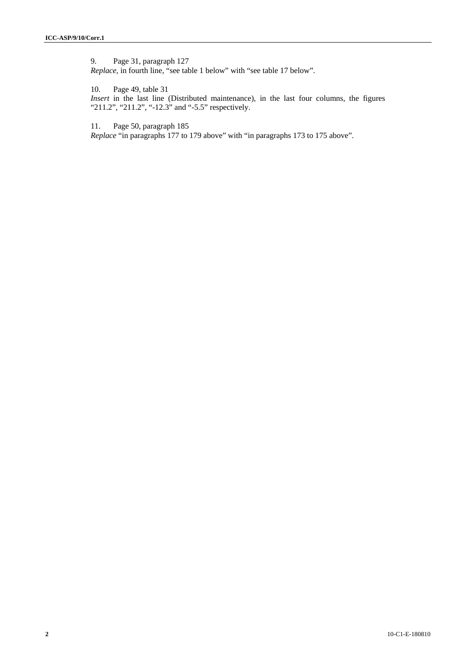9. Page 31, paragraph 127 *Replace,* in fourth line, "see table 1 below" with "see table 17 below".

10. Page 49, table 31 *Insert* in the last line (Distributed maintenance), in the last four columns, the figures "211.2", "211.2", "-12.3" and "-5.5" respectively.

11. Page 50, paragraph 185

*Replace* "in paragraphs 177 to 179 above" with "in paragraphs 173 to 175 above".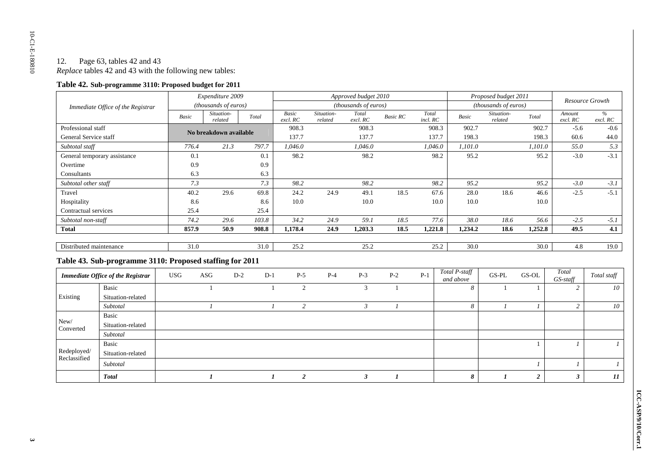## 12. Page 63, tables 42 and 43 *Replace* tables 42 and 43 with the following new tables:

#### **Table 42. Sub-programme 3110: Proposed budget for 2011**

| Immediate Office of the Registrar |                                                          | Expenditure 2009     |                        |       | Approved budget 2010 |                   |                       |                   |                 | Proposed budget 2011 |                            |                       | <b>Resource Growth</b> |                    |                  |
|-----------------------------------|----------------------------------------------------------|----------------------|------------------------|-------|----------------------|-------------------|-----------------------|-------------------|-----------------|----------------------|----------------------------|-----------------------|------------------------|--------------------|------------------|
|                                   |                                                          | (thousands of euros) |                        |       | (thousands of euros) |                   |                       |                   |                 | (thousands of euros) |                            |                       |                        |                    |                  |
|                                   |                                                          | Basic                | Situation-<br>related  |       | Total                | Basic<br>excl. RC | Situation-<br>related | Total<br>excl. RC | <b>Basic RC</b> | Total<br>incl. RC    | Basic                      | Situation-<br>related | Total                  | Amount<br>excl. RC | $\%$<br>excl. RC |
| Professional staff                |                                                          |                      | No breakdown available |       |                      | 908.3             |                       | 908.3             |                 | 908.3                | 902.7                      |                       | 902.7                  | $-5.6$             | $-0.6$           |
| General Service staff             |                                                          |                      |                        |       |                      | 137.7             |                       | 137.7             |                 | 137.7                | 198.3                      |                       | 198.3                  | 60.6               | 44.0             |
| Subtotal staff                    |                                                          | 776.4                | 21.3                   |       | 797.7                | 1,046.0           |                       | 1.046.0           |                 | 1,046.0              | 1,101.0                    |                       | 1,101.0                | 55.0               | 5.3              |
|                                   | General temporary assistance                             | 0.1                  |                        |       | 0.1                  | 98.2              |                       | 98.2              |                 | 98.2                 | 95.2                       |                       | 95.2                   | $-3.0$             | $-3.1$           |
| Overtime                          |                                                          | 0.9                  |                        |       | 0.9                  |                   |                       |                   |                 |                      |                            |                       |                        |                    |                  |
| Consultants                       |                                                          | 6.3                  |                        |       | 6.3                  |                   |                       |                   |                 |                      |                            |                       |                        |                    |                  |
| Subtotal other staff              |                                                          | 7.3                  |                        |       | 7.3                  | 98.2              |                       | 98.2              |                 | 98.2                 | 95.2                       |                       | 95.2                   | $-3.0$             | $-3.1$           |
| Travel                            |                                                          | 40.2                 | 29.6                   |       | 69.8                 | 24.2              | 24.9                  | 49.1              | 18.5            | 67.6                 | 28.0                       | 18.6                  | 46.6                   | $-2.5$             | $-5.1$           |
| Hospitality                       |                                                          | 8.6                  |                        |       | 8.6                  | 10.0              |                       | 10.0              |                 | 10.0                 | 10.0                       |                       | 10.0                   |                    |                  |
| Contractual services              |                                                          | 25.4                 |                        |       | 25.4                 |                   |                       |                   |                 |                      |                            |                       |                        |                    |                  |
| Subtotal non-staff                |                                                          | 74.2                 | 29.6                   |       | 103.8                | 34.2              | 24.9                  | 59.1              | 18.5            | 77.6                 | 38.0                       | 18.6                  | 56.6                   | $-2.5$             | $-5.1$           |
| <b>Total</b>                      |                                                          | 857.9                | 50.9                   |       | 908.8                | 1,178.4           | 24.9                  | 1,203.3           | 18.5            | 1,221.8              | 1,234.2                    | 18.6                  | 1,252.8                | 49.5               | 4.1              |
|                                   |                                                          |                      |                        |       |                      |                   |                       |                   |                 |                      |                            |                       |                        |                    |                  |
| Distributed maintenance           |                                                          | 31.0                 |                        |       | 31.0                 | 25.2              |                       | 25.2              |                 | 25.2                 | 30.0                       |                       | 30.0                   | 4.8                | 19.0             |
|                                   | Table 43. Sub-programme 3110: Proposed staffing for 2011 |                      |                        |       |                      |                   |                       |                   |                 |                      |                            |                       |                        |                    |                  |
|                                   | <b>Immediate Office of the Registrar</b>                 | <b>USG</b>           | ASG                    | $D-2$ | $D-1$                | $P-5$             | $P-4$                 | $P-3$             | $P-2$           | $P-1$                | Total P-staff<br>and above | GS-PL                 | GS-OL                  | Total<br>GS-staff  | Total staff      |
|                                   | Basic                                                    |                      |                        |       | $\mathbf{1}$         | 2                 |                       | 3                 | $\overline{1}$  |                      | 8                          |                       |                        | 2                  | 10               |
| Existing                          | Situation-related                                        |                      |                        |       |                      |                   |                       |                   |                 |                      |                            |                       |                        |                    |                  |
|                                   | Subtotal                                                 |                      |                        |       | $\boldsymbol{l}$     | $\overline{c}$    |                       | $\mathfrak{Z}$    |                 |                      | 8                          | $\mathbf{I}$          | $\overline{I}$         | 2                  | 10               |
|                                   | Basic                                                    |                      |                        |       |                      |                   |                       |                   |                 |                      |                            |                       |                        |                    |                  |
| New/<br>Converted                 | Situation-related                                        |                      |                        |       |                      |                   |                       |                   |                 |                      |                            |                       |                        |                    |                  |
|                                   | Subtotal                                                 |                      |                        |       |                      |                   |                       |                   |                 |                      |                            |                       |                        |                    |                  |
| Redeployed/<br>Reclassified       | Basic                                                    |                      |                        |       |                      |                   |                       |                   |                 |                      |                            |                       |                        |                    | $\mathcal{I}$    |
|                                   | Situation-related                                        |                      |                        |       |                      |                   |                       |                   |                 |                      |                            |                       |                        |                    |                  |
|                                   | Subtotal                                                 |                      |                        |       |                      |                   |                       |                   |                 |                      |                            |                       |                        |                    | $\boldsymbol{l}$ |
|                                   | <b>Total</b>                                             |                      |                        |       |                      | $\overline{2}$    |                       | $\mathbf{3}$      |                 |                      | $\boldsymbol{s}$           |                       | $\overline{2}$         | $\mathbf{3}$       | 11               |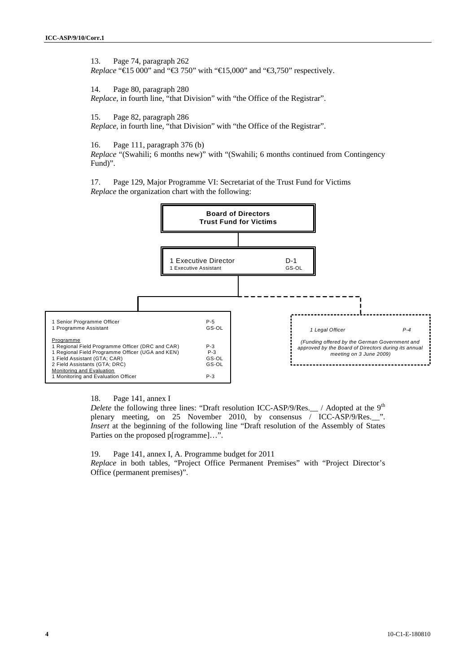13. Page 74, paragraph 262 *Replace* "€15 000" and "€3 750" with "€15,000" and "€3,750" respectively.

14. Page 80, paragraph 280 *Replace,* in fourth line, "that Division" with "the Office of the Registrar".

15. Page 82, paragraph 286

*Replace,* in fourth line, "that Division" with "the Office of the Registrar".

16. Page 111, paragraph 376 (b)

*Replace* "(Swahili; 6 months new)" with "(Swahili; 6 months continued from Contingency Fund)".

17. Page 129, Major Programme VI: Secretariat of the Trust Fund for Victims *Replace* the organization chart with the following:



18. Page 141, annex I

*Delete* the following three lines: "Draft resolution ICC-ASP/9/Res.\_\_ / Adopted at the 9<sup>th</sup> plenary meeting, on 25 November 2010, by consensus / ICC-ASP/9/Res.\_\_". *Insert* at the beginning of the following line "Draft resolution of the Assembly of States" Parties on the proposed p[rogramme]…".

19. Page 141, annex I, A. Programme budget for 2011

*Replace* in both tables, "Project Office Permanent Premises" with "Project Director's Office (permanent premises)".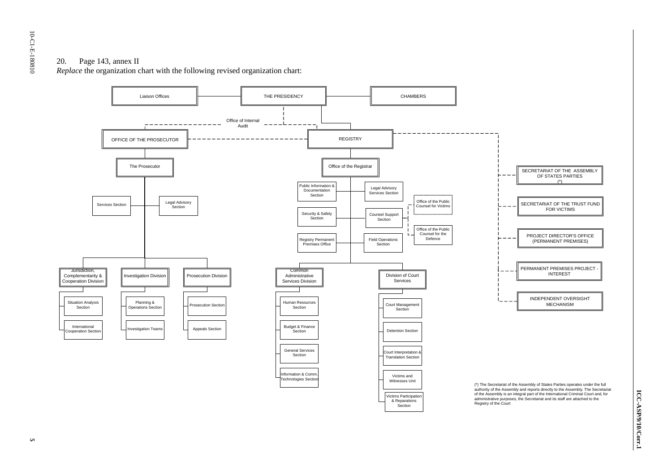### 20. Page 143, annex II

*Replace* the organization chart with the following revised organization chart:

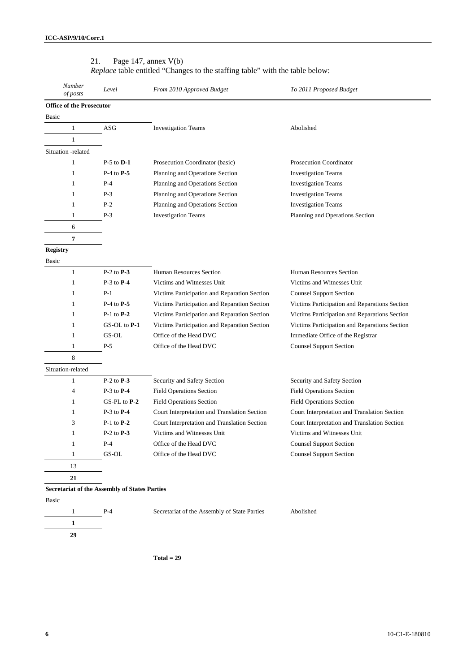| Number<br>of posts              | Level                                                | From 2010 Approved Budget                    | To 2011 Proposed Budget                       |  |  |  |
|---------------------------------|------------------------------------------------------|----------------------------------------------|-----------------------------------------------|--|--|--|
| <b>Office of the Prosecutor</b> |                                                      |                                              |                                               |  |  |  |
| Basic                           |                                                      |                                              |                                               |  |  |  |
| $\mathbf{1}$                    | ASG                                                  | <b>Investigation Teams</b>                   | Abolished                                     |  |  |  |
| $\mathbf{1}$                    |                                                      |                                              |                                               |  |  |  |
| Situation -related              |                                                      |                                              |                                               |  |  |  |
| $\mathbf{1}$                    | $P-5$ to $D-1$                                       | Prosecution Coordinator (basic)              | Prosecution Coordinator                       |  |  |  |
| $\mathbf{1}$                    | $P-4$ to $P-5$                                       | Planning and Operations Section              | <b>Investigation Teams</b>                    |  |  |  |
| $\mathbf{1}$                    | $P-4$                                                | Planning and Operations Section              | <b>Investigation Teams</b>                    |  |  |  |
| $\mathbf{1}$                    | $P-3$                                                | Planning and Operations Section              | <b>Investigation Teams</b>                    |  |  |  |
| $\mathbf{1}$                    | $P-2$                                                | Planning and Operations Section              | <b>Investigation Teams</b>                    |  |  |  |
| $\mathbf{1}$                    | $P-3$                                                | <b>Investigation Teams</b>                   | Planning and Operations Section               |  |  |  |
| 6                               |                                                      |                                              |                                               |  |  |  |
| $\pmb{7}$                       |                                                      |                                              |                                               |  |  |  |
| <b>Registry</b>                 |                                                      |                                              |                                               |  |  |  |
| Basic                           |                                                      |                                              |                                               |  |  |  |
| $\mathbf{1}$                    | $P-2$ to $P-3$                                       | Human Resources Section                      | Human Resources Section                       |  |  |  |
| $\mathbf{1}$                    | $P-3$ to $P-4$                                       | Victims and Witnesses Unit                   | Victims and Witnesses Unit                    |  |  |  |
| $\mathbf{1}$                    | $P-1$                                                | Victims Participation and Reparation Section | <b>Counsel Support Section</b>                |  |  |  |
| $\mathbf{1}$                    | $P-4$ to $P-5$                                       | Victims Participation and Reparation Section | Victims Participation and Reparations Section |  |  |  |
| $\mathbf{1}$                    | $P-1$ to $P-2$                                       | Victims Participation and Reparation Section | Victims Participation and Reparations Section |  |  |  |
| $\mathbf{1}$                    | GS-OL to P-1                                         | Victims Participation and Reparation Section | Victims Participation and Reparations Section |  |  |  |
| $\mathbf{1}$                    | GS-OL                                                | Office of the Head DVC                       | Immediate Office of the Registrar             |  |  |  |
| $\mathbf{1}$                    | $P-5$                                                | Office of the Head DVC                       | <b>Counsel Support Section</b>                |  |  |  |
| 8                               |                                                      |                                              |                                               |  |  |  |
| Situation-related               |                                                      |                                              |                                               |  |  |  |
| $\mathbf{1}$                    | $P-2$ to $P-3$                                       | Security and Safety Section                  | Security and Safety Section                   |  |  |  |
| $\overline{4}$                  | $P-3$ to $P-4$                                       | <b>Field Operations Section</b>              | <b>Field Operations Section</b>               |  |  |  |
| 1                               | $GS-PL$ to $P-2$                                     | <b>Field Operations Section</b>              | <b>Field Operations Section</b>               |  |  |  |
| $\mathbf{1}$                    | $P-3$ to $P-4$                                       | Court Interpretation and Translation Section | Court Interpretation and Translation Section  |  |  |  |
| 3                               | $P-1$ to $P-2$                                       | Court Interpretation and Translation Section | Court Interpretation and Translation Section  |  |  |  |
| $\mathbf{1}$                    | $P-2$ to $P-3$                                       | Victims and Witnesses Unit                   | Victims and Witnesses Unit                    |  |  |  |
| $\mathbf{1}$                    | $P-4$                                                | Office of the Head DVC                       | <b>Counsel Support Section</b>                |  |  |  |
| $\mathbf{1}$                    | GS-OL                                                | Office of the Head DVC                       | <b>Counsel Support Section</b>                |  |  |  |
| 13                              |                                                      |                                              |                                               |  |  |  |
| 21                              |                                                      |                                              |                                               |  |  |  |
|                                 | <b>Secretariat of the Assembly of States Parties</b> |                                              |                                               |  |  |  |

#### 21. Page 147, annex V(b)

*Replace* table entitled "Changes to the staffing table" with the table below:

**Total = 29**

P-4 Secretariat of the Assembly of State Parties Abolished

Basic